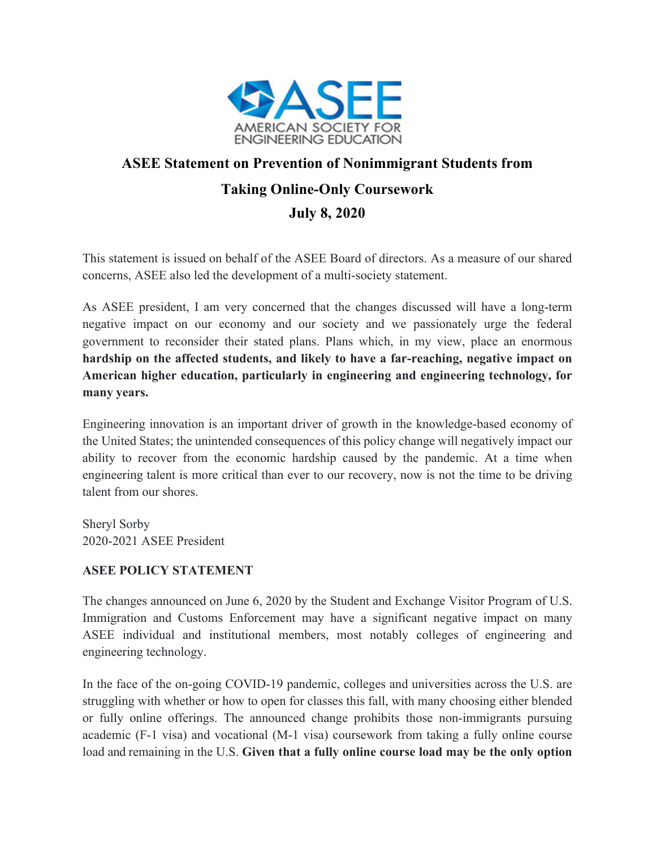

## **ASEE Statement on Prevention of Nonimmigrant Students from Taking Online-Only Coursework July 8, 2020**

This statement is issued on behalf of the ASEE Board of directors. As a measure of our shared concerns, ASEE also led the development of a multi-society statement.

As ASEE president, I am very concerned that the changes discussed will have a long-term negative impact on our economy and our society and we passionately urge the federal government to reconsider their stated plans. Plans which, in my view, place an enormous **hardship on the affected students, and likely to have a far-reaching, negative impact on American higher education, particularly in engineering and engineering technology, for many years.**

Engineering innovation is an important driver of growth in the knowledge-based economy of the United States; the unintended consequences of this policy change will negatively impact our ability to recover from the economic hardship caused by the pandemic. At a time when engineering talent is more critical than ever to our recovery, now is not the time to be driving talent from our shores.

Sheryl Sorby 2020-2021 ASEE President

## **ASEE POLICY STATEMENT**

The changes announced on June 6, 2020 by the Student and Exchange Visitor Program of U.S. Immigration and Customs Enforcement may have a significant negative impact on many ASEE individual and institutional members, most notably colleges of engineering and engineering technology.

In the face of the on-going COVID-19 pandemic, colleges and universities across the U.S. are struggling with whether or how to open for classes this fall, with many choosing either blended or fully online offerings. The announced change prohibits those non-immigrants pursuing academic (F-1 visa) and vocational (M-1 visa) coursework from taking a fully online course load and remaining in the U.S. **Given that a fully online course load may be the only option**